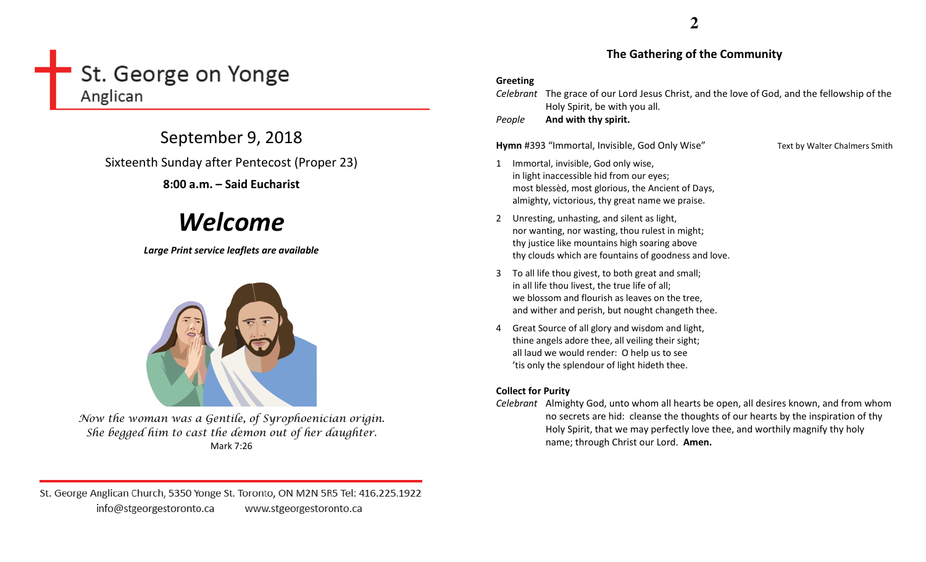# St. George on Yonge Anglican

September 9, 2018 Sixteenth Sunday after Pentecost (Proper 23)

## 8:00 a.m. – Said Eucharist

# Welcome

Large Print service leaflets are available



Now the woman was a Gentile, of Syrophoenician origin. She begged him to cast the demon out of her daughter. Mark 7:26

St. George Anglican Church, 5350 Yonge St. Toronto, ON M2N 5R5 Tel: 416.225.1922 info@stgeorgestoronto.ca www.stgeorgestoronto.ca

### The Gathering of the Community

### Greeting

| Celebrant<br>People |                                                                                                                                                                                                           | The grace of our Lord Jesus Christ, and the love of God, and the fellowship of the<br>Holy Spirit, be with you all.<br>And with thy spirit.                                                                                                               |                               |  |
|---------------------|-----------------------------------------------------------------------------------------------------------------------------------------------------------------------------------------------------------|-----------------------------------------------------------------------------------------------------------------------------------------------------------------------------------------------------------------------------------------------------------|-------------------------------|--|
|                     |                                                                                                                                                                                                           | Hymn #393 "Immortal, Invisible, God Only Wise"                                                                                                                                                                                                            | Text by Walter Chalmers Smith |  |
| $\mathbf{1}$        |                                                                                                                                                                                                           | Immortal, invisible, God only wise,<br>in light inaccessible hid from our eyes;<br>most blessèd, most glorious, the Ancient of Days,<br>almighty, victorious, thy great name we praise.                                                                   |                               |  |
| $2^{\circ}$         |                                                                                                                                                                                                           | Unresting, unhasting, and silent as light,<br>nor wanting, nor wasting, thou rulest in might;<br>thy justice like mountains high soaring above<br>thy clouds which are fountains of goodness and love.                                                    |                               |  |
| 3                   | To all life thou givest, to both great and small;<br>in all life thou livest, the true life of all;<br>we blossom and flourish as leaves on the tree,<br>and wither and perish, but nought changeth thee. |                                                                                                                                                                                                                                                           |                               |  |
| 4                   | Great Source of all glory and wisdom and light,<br>thine angels adore thee, all veiling their sight;<br>all laud we would render: O help us to see<br>'tis only the splendour of light hideth thee.       |                                                                                                                                                                                                                                                           |                               |  |
|                     | <b>Collect for Purity</b>                                                                                                                                                                                 |                                                                                                                                                                                                                                                           |                               |  |
|                     |                                                                                                                                                                                                           | Celebrant Almighty God, unto whom all hearts be open, all desires known, and from whom<br>no secrets are hid: cleanse the thoughts of our hearts by the inspiration of thy<br>Holy Spirit, that we may perfectly love thee, and worthily magnify thy holy |                               |  |

name; through Christ our Lord. Amen.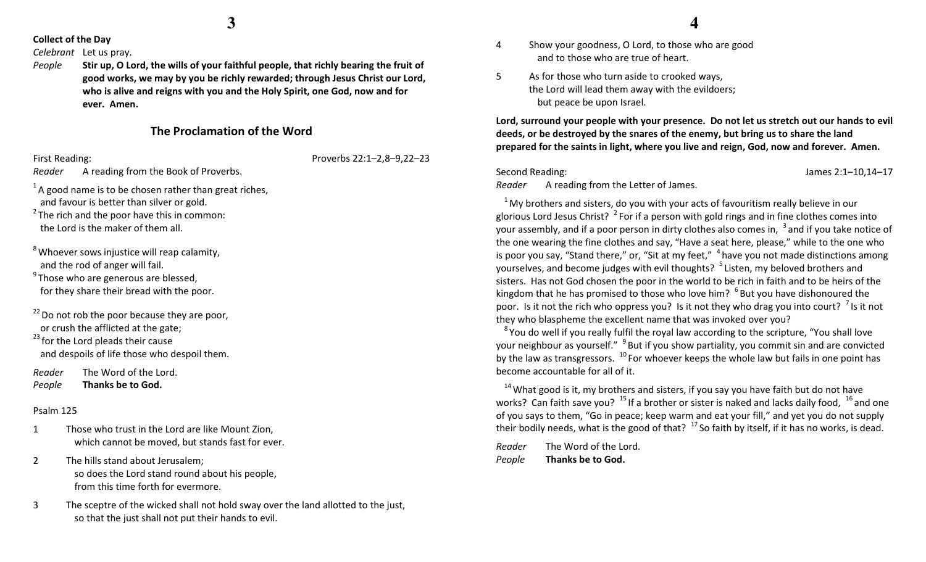**3**

#### Collect of the Day

Celebrant Let us pray.

People Stir up, O Lord, the wills of your faithful people, that richly bearing the fruit of good works, we may by you be richly rewarded; through Jesus Christ our Lord, who is alive and reigns with you and the Holy Spirit, one God, now and for ever. Amen.

### The Proclamation of the Word

First Reading: Proverbs 22:1–2,8–9,22–23

Reader A reading from the Book of Proverbs.

- $1A$  good name is to be chosen rather than great riches, and favour is better than silver or gold.
- $^{2}$  The rich and the poor have this in common: the Lord is the maker of them all.
- $8$  Whoever sows injustice will reap calamity, and the rod of anger will fail.
- $9$ Those who are generous are blessed, for they share their bread with the poor.
- $22$  Do not rob the poor because they are poor, or crush the afflicted at the gate;
- $23$  for the Lord pleads their cause and despoils of life those who despoil them.
- Reader The Word of the Lord. PeopleThanks be to God.

#### Psalm 125

- 1 Those who trust in the Lord are like Mount Zion, which cannot be moved, but stands fast for ever.
- 2 The hills stand about Jerusalem; so does the Lord stand round about his people, from this time forth for evermore.
- 3 The sceptre of the wicked shall not hold sway over the land allotted to the just, so that the just shall not put their hands to evil.
- 4 Show your goodness, O Lord, to those who are goodand to those who are true of heart.
- 5 As for those who turn aside to crooked ways, the Lord will lead them away with the evildoers; but peace be upon Israel.

Lord, surround your people with your presence. Do not let us stretch out our hands to evil deeds, or be destroyed by the snares of the enemy, but bring us to share the land prepared for the saints in light, where you live and reign, God, now and forever. Amen.

#### Second Reading: James 2:1–10,14–17

Reader A reading from the Letter of James.

 $1$ My brothers and sisters, do you with your acts of favouritism really believe in our glorious Lord Jesus Christ?  $^2$  For if a person with gold rings and in fine clothes comes into your assembly, and if a poor person in dirty clothes also comes in,  $\frac{3}{3}$  and if you take notice of the one wearing the fine clothes and say, "Have a seat here, please," while to the one who is poor you say, "Stand there," or, "Sit at my feet,"  $4$  have you not made distinctions among yourselves, and become judges with evil thoughts? <sup>5</sup> Listen, my beloved brothers and sisters. Has not God chosen the poor in the world to be rich in faith and to be heirs of the kingdom that he has promised to those who love him?  $^6$  But you have dishonoured the poor. Is it not the rich who oppress you? Is it not they who drag you into court?  $\frac{7}{1}$  is it not they who blaspheme the excellent name that was invoked over you?

<sup>8</sup> You do well if you really fulfil the royal law according to the scripture, "You shall love your neighbour as yourself." <sup>9</sup> But if you show partiality, you commit sin and are convicted by the law as transgressors.  $10$  For whoever keeps the whole law but fails in one point has become accountable for all of it.

 $14$  What good is it, my brothers and sisters, if you say you have faith but do not have works? Can faith save you?  $^{15}$  If a brother or sister is naked and lacks daily food,  $^{16}$  and one of you says to them, "Go in peace; keep warm and eat your fill," and yet you do not supply their bodily needs, what is the good of that?  $17$  So faith by itself, if it has no works, is dead.

Reader The Word of the Lord. PeopleThanks be to God.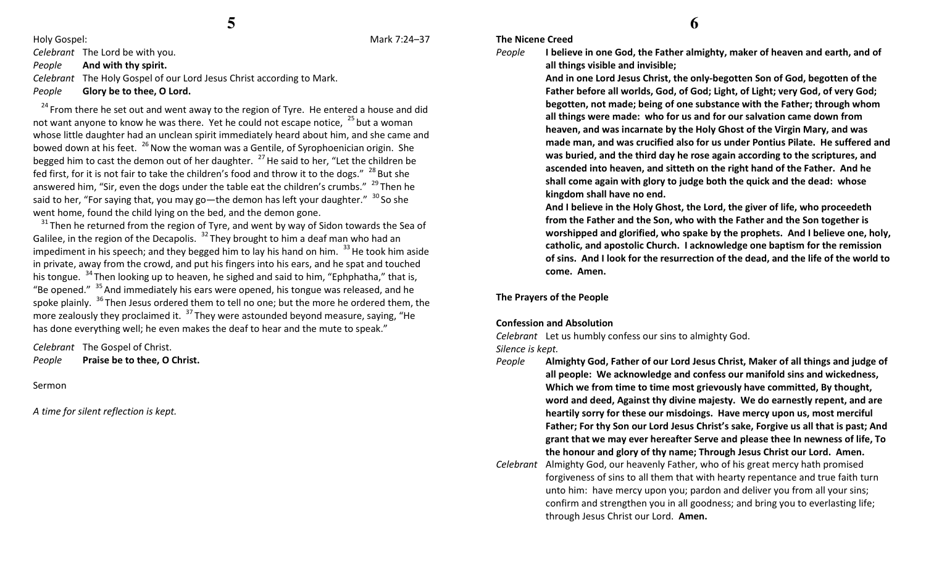Holy Gospel: Mark 7:24–37

Celebrant The Lord be with you.

PeopleAnd with thy spirit.

Celebrant The Holy Gospel of our Lord Jesus Christ according to Mark. PeopleGlory be to thee, O Lord.

 $24$  From there he set out and went away to the region of Tyre. He entered a house and did not want anyone to know he was there. Yet he could not escape notice,  $25$  but a woman whose little daughter had an unclean spirit immediately heard about him, and she came and bowed down at his feet.  $^{26}$  Now the woman was a Gentile, of Syrophoenician origin. She begged him to cast the demon out of her daughter.  $^{27}$  He said to her, "Let the children be fed first, for it is not fair to take the children's food and throw it to the dogs."  $^{28}$  But she answered him, "Sir, even the dogs under the table eat the children's crumbs."  $^{29}$  Then he said to her, "For saying that, you may go—the demon has left your daughter."  $30$  So she went home, found the child lying on the bed, and the demon gone.

 $31$  Then he returned from the region of Tyre, and went by way of Sidon towards the Sea of Galilee, in the region of the Decapolis.  $32$  They brought to him a deaf man who had an impediment in his speech; and they begged him to lay his hand on him.  $^{33}$  He took him aside in private, away from the crowd, and put his fingers into his ears, and he spat and touched his tongue.  $34$ Then looking up to heaven, he sighed and said to him, "Ephphatha," that is, "Be opened."  $35$  And immediately his ears were opened, his tongue was released, and he spoke plainly. <sup>36</sup> Then Jesus ordered them to tell no one; but the more he ordered them, the more zealously they proclaimed it.  $37$  They were astounded beyond measure, saying, "He has done everything well; he even makes the deaf to hear and the mute to speak."

Celebrant The Gospel of Christ. PeoplePraise be to thee, O Christ.

Sermon

A time for silent reflection is kept.

#### The Nicene Creed

People

all things visible and invisible; And in one Lord Jesus Christ, the only-begotten Son of God, begotten of the Father before all worlds, God, of God; Light, of Light; very God, of very God; begotten, not made; being of one substance with the Father; through whom all things were made: who for us and for our salvation came down from heaven, and was incarnate by the Holy Ghost of the Virgin Mary, and was made man, and was crucified also for us under Pontius Pilate. He suffered and was buried, and the third day he rose again according to the scriptures, and ascended into heaven, and sitteth on the right hand of the Father. And he shall come again with glory to judge both the quick and the dead: whose kingdom shall have no end.

I believe in one God, the Father almighty, maker of heaven and earth, and of

And I believe in the Holy Ghost, the Lord, the giver of life, who proceedeth from the Father and the Son, who with the Father and the Son together is worshipped and glorified, who spake by the prophets. And I believe one, holy, catholic, and apostolic Church. I acknowledge one baptism for the remission of sins. And I look for the resurrection of the dead, and the life of the world to come. Amen.

The Prayers of the People

#### Confession and Absolution

Celebrant Let us humbly confess our sins to almighty God.

Silence is kept.

- People Almighty God, Father of our Lord Jesus Christ, Maker of all things and judge of all people: We acknowledge and confess our manifold sins and wickedness, Which we from time to time most grievously have committed, By thought, word and deed, Against thy divine majesty. We do earnestly repent, and are heartily sorry for these our misdoings. Have mercy upon us, most merciful Father; For thy Son our Lord Jesus Christ's sake, Forgive us all that is past; And grant that we may ever hereafter Serve and please thee In newness of life, To the honour and glory of thy name; Through Jesus Christ our Lord. Amen.
- Celebrant Almighty God, our heavenly Father, who of his great mercy hath promised forgiveness of sins to all them that with hearty repentance and true faith turn unto him: have mercy upon you; pardon and deliver you from all your sins; confirm and strengthen you in all goodness; and bring you to everlasting life; through Jesus Christ our Lord. Amen.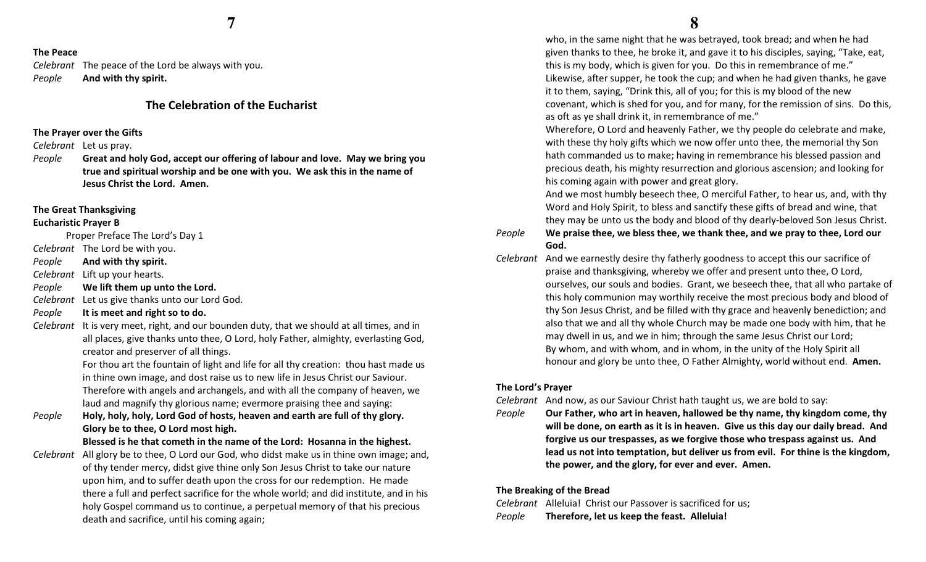#### The Peace

Celebrant The peace of the Lord be always with you. PeopleAnd with thy spirit.

### The Celebration of the Eucharist

#### The Prayer over the Gifts

Celebrant Let us pray.

People Great and holy God, accept our offering of labour and love. May we bring you true and spiritual worship and be one with you. We ask this in the name of Jesus Christ the Lord. Amen.

#### The Great Thanksgiving

#### Eucharistic Prayer B

Proper Preface The Lord's Day 1

- Celebrant The Lord be with you.
- PeopleAnd with thy spirit.

Celebrant Lift up your hearts.

- PeopleWe lift them up unto the Lord.
- Celebrant Let us give thanks unto our Lord God.
- PeopleIt is meet and right so to do.
- Celebrant It is very meet, right, and our bounden duty, that we should at all times, and in all places, give thanks unto thee, O Lord, holy Father, almighty, everlasting God, creator and preserver of all things.

For thou art the fountain of light and life for all thy creation: thou hast made us in thine own image, and dost raise us to new life in Jesus Christ our Saviour. Therefore with angels and archangels, and with all the company of heaven, we laud and magnify thy glorious name; evermore praising thee and saying:

People Holy, holy, holy, Lord God of hosts, heaven and earth are full of thy glory. Glory be to thee, O Lord most high.

Blessed is he that cometh in the name of the Lord: Hosanna in the highest.

Celebrant All glory be to thee, O Lord our God, who didst make us in thine own image; and, of thy tender mercy, didst give thine only Son Jesus Christ to take our nature upon him, and to suffer death upon the cross for our redemption. He made there a full and perfect sacrifice for the whole world; and did institute, and in his holy Gospel command us to continue, a perpetual memory of that his precious death and sacrifice, until his coming again;

 who, in the same night that he was betrayed, took bread; and when he had given thanks to thee, he broke it, and gave it to his disciples, saying, "Take, eat, this is my body, which is given for you. Do this in remembrance of me." Likewise, after supper, he took the cup; and when he had given thanks, he gave it to them, saying, "Drink this, all of you; for this is my blood of the new covenant, which is shed for you, and for many, for the remission of sins. Do this, as oft as ye shall drink it, in remembrance of me."

 Wherefore, O Lord and heavenly Father, we thy people do celebrate and make, with these thy holy gifts which we now offer unto thee, the memorial thy Son hath commanded us to make; having in remembrance his blessed passion and precious death, his mighty resurrection and glorious ascension; and looking for his coming again with power and great glory.

And we most humbly beseech thee, O merciful Father, to hear us, and, with thy Word and Holy Spirit, to bless and sanctify these gifts of bread and wine, that they may be unto us the body and blood of thy dearly-beloved Son Jesus Christ.

#### People We praise thee, we bless thee, we thank thee, and we pray to thee, Lord our God.

Celebrant And we earnestly desire thy fatherly goodness to accept this our sacrifice of praise and thanksgiving, whereby we offer and present unto thee, O Lord, ourselves, our souls and bodies. Grant, we beseech thee, that all who partake of this holy communion may worthily receive the most precious body and blood of thy Son Jesus Christ, and be filled with thy grace and heavenly benediction; and also that we and all thy whole Church may be made one body with him, that he may dwell in us, and we in him; through the same Jesus Christ our Lord; By whom, and with whom, and in whom, in the unity of the Holy Spirit all honour and glory be unto thee, O Father Almighty, world without end. Amen.

#### The Lord's Prayer

#### Celebrant And now, as our Saviour Christ hath taught us, we are bold to say:

People Our Father, who art in heaven, hallowed be thy name, thy kingdom come, thy will be done, on earth as it is in heaven. Give us this day our daily bread. And forgive us our trespasses, as we forgive those who trespass against us. And lead us not into temptation, but deliver us from evil. For thine is the kingdom, the power, and the glory, for ever and ever. Amen.

#### The Breaking of the Bread

Celebrant Alleluia! Christ our Passover is sacrificed for us; PeopleTherefore, let us keep the feast. Alleluia!